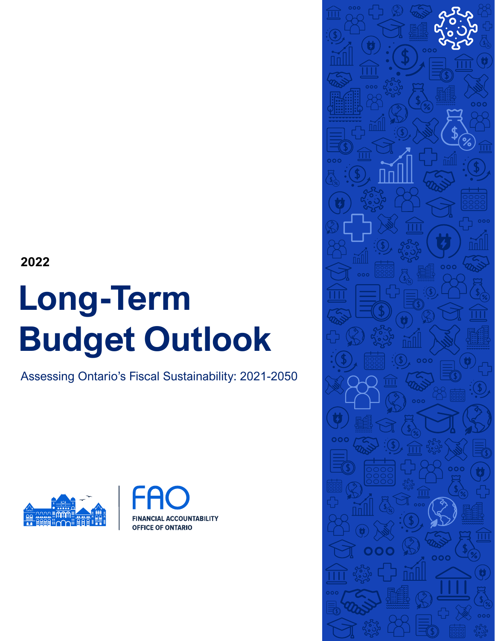**2022**

# **Long-Term Budget Outlook**

Assessing Ontario's Fiscal Sustainability: 2021-2050





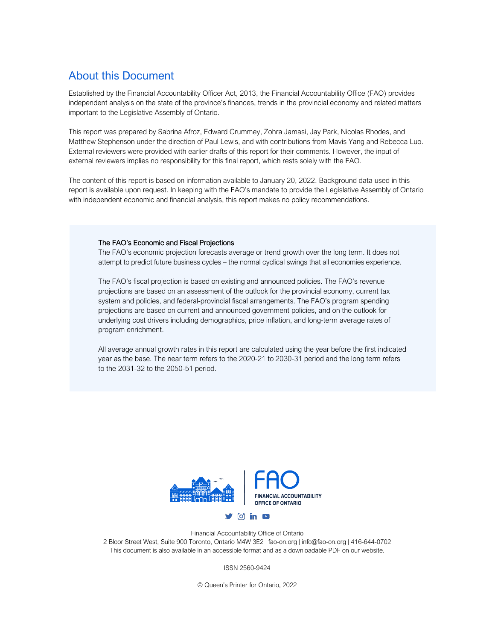## About this Document

Established by the Financial Accountability Officer Act, 2013, the Financial Accountability Office (FAO) provides independent analysis on the state of the province's finances, trends in the provincial economy and related matters important to the Legislative Assembly of Ontario.

This report was prepared by Sabrina Afroz, Edward Crummey, Zohra Jamasi, Jay Park, Nicolas Rhodes, and Matthew Stephenson under the direction of Paul Lewis, and with contributions from Mavis Yang and Rebecca Luo. External reviewers were provided with earlier drafts of this report for their comments. However, the input of external reviewers implies no responsibility for this final report, which rests solely with the FAO.

The content of this report is based on information available to January 20, 2022. Background data used in this report is available upon request. In keeping with the FAO's mandate to provide the Legislative Assembly of Ontario with independent economic and financial analysis, this report makes no policy recommendations.

#### The FAO's Economic and Fiscal Projections

The FAO's economic projection forecasts average or trend growth over the long term. It does not attempt to predict future business cycles – the normal cyclical swings that all economies experience.

The FAO's fiscal projection is based on existing and announced policies. The FAO's revenue projections are based on an assessment of the outlook for the provincial economy, current tax system and policies, and federal-provincial fiscal arrangements. The FAO's program spending projections are based on current and announced government policies, and on the outlook for underlying cost drivers including demographics, price inflation, and long-term average rates of program enrichment.

All average annual growth rates in this report are calculated using the year before the first indicated year as the base. The near term refers to the 2020-21 to 2030-31 period and the long term refers to the 2031-32 to the 2050-51 period.



Financial Accountability Office of Ontario 2 Bloor Street West, Suite 900 Toronto, Ontario M4W 3E2 | fao-on.org | info@fao-on.org | 416-644-0702 This document is also available in an accessible format and as a downloadable PDF on our website.

ISSN 2560-9424

© Queen's Printer for Ontario, 2022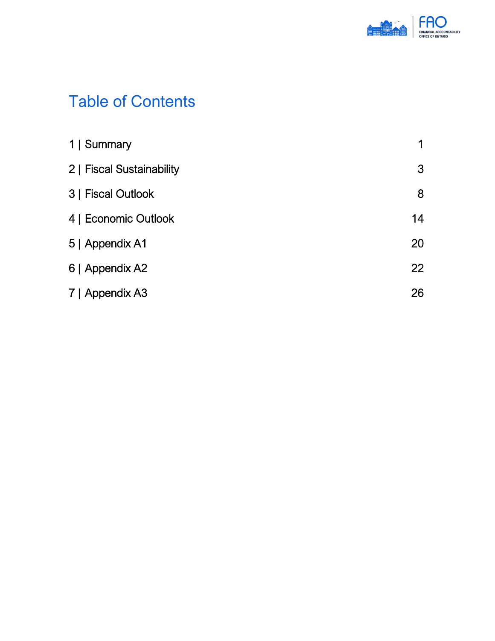

# Table of Contents

| 1   Summary               | 1         |
|---------------------------|-----------|
| 2   Fiscal Sustainability | 3         |
| 3   Fiscal Outlook        | 8         |
| 4   Economic Outlook      | 14        |
| 5   Appendix A1           | 20        |
| 6   Appendix A2           | <b>22</b> |
| 7   Appendix A3           | 26        |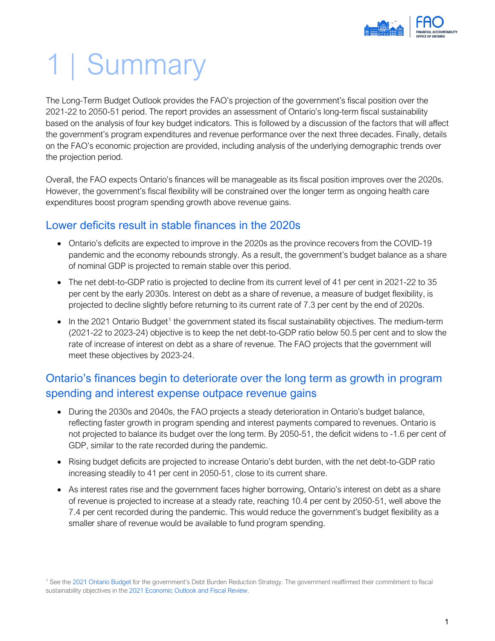

# <span id="page-3-0"></span>1 | Summary

The Long-Term Budget Outlook provides the FAO's projection of the government's fiscal position over the 2021-22 to 2050-51 period. The report provides an assessment of Ontario's long-term fiscal sustainability based on the analysis of four key budget indicators. This is followed by a discussion of the factors that will affect the government's program expenditures and revenue performance over the next three decades. Finally, details on the FAO's economic projection are provided, including analysis of the underlying demographic trends over the projection period.

Overall, the FAO expects Ontario's finances will be manageable as its fiscal position improves over the 2020s. However, the government's fiscal flexibility will be constrained over the longer term as ongoing health care expenditures boost program spending growth above revenue gains.

## Lower deficits result in stable finances in the 2020s

- Ontario's deficits are expected to improve in the 2020s as the province recovers from the COVID-19 pandemic and the economy rebounds strongly. As a result, the government's budget balance as a share of nominal GDP is projected to remain stable over this period.
- The net debt-to-GDP ratio is projected to decline from its current level of 41 per cent in 2021-22 to 35 per cent by the early 2030s. Interest on debt as a share of revenue, a measure of budget flexibility, is projected to decline slightly before returning to its current rate of 7.3 per cent by the end of 2020s.
- $\bullet$  In the 202[1](#page-3-1) Ontario Budget<sup>1</sup> the government stated its fiscal sustainability objectives. The medium-term (2021-22 to 2023-24) objective is to keep the net debt-to-GDP ratio below 50.5 per cent and to slow the rate of increase of interest on debt as a share of revenue. The FAO projects that the government will meet these objectives by 2023-24.

## Ontario's finances begin to deteriorate over the long term as growth in program spending and interest expense outpace revenue gains

- During the 2030s and 2040s, the FAO projects a steady deterioration in Ontario's budget balance, reflecting faster growth in program spending and interest payments compared to revenues. Ontario is not projected to balance its budget over the long term. By 2050-51, the deficit widens to -1.6 per cent of GDP, similar to the rate recorded during the pandemic.
- Rising budget deficits are projected to increase Ontario's debt burden, with the net debt-to-GDP ratio increasing steadily to 41 per cent in 2050-51, close to its current share.
- As interest rates rise and the government faces higher borrowing, Ontario's interest on debt as a share of revenue is projected to increase at a steady rate, reaching 10.4 per cent by 2050-51, well above the 7.4 per cent recorded during the pandemic. This would reduce the government's budget flexibility as a smaller share of revenue would be available to fund program spending.

<span id="page-3-1"></span><sup>1</sup> See the [2021 Ontario Budget](https://budget.ontario.ca/2021/pdf/2021-ontario-budget-en.pdf) for the government's Debt Burden Reduction Strategy. The government reaffirmed their commitment to fiscal sustainability objectives in the [2021 Economic Outlook and Fiscal Review.](https://budget.ontario.ca/2021/fallstatement/pdf/2021-fall-statement-en.pdf)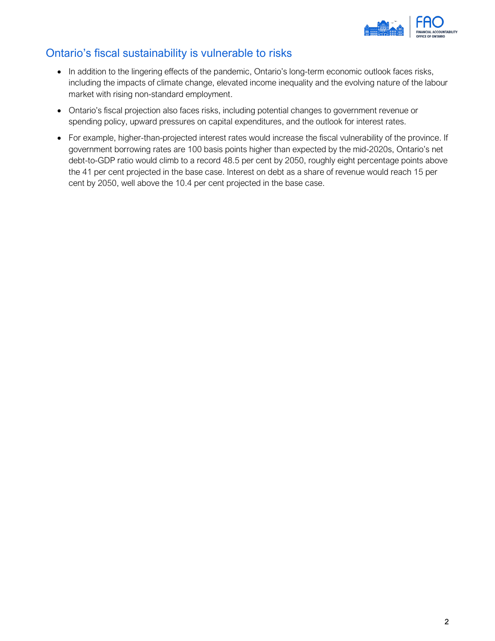

## Ontario's fiscal sustainability is vulnerable to risks

- In addition to the lingering effects of the pandemic, Ontario's long-term economic outlook faces risks, including the impacts of climate change, elevated income inequality and the evolving nature of the labour market with rising non-standard employment.
- Ontario's fiscal projection also faces risks, including potential changes to government revenue or spending policy, upward pressures on capital expenditures, and the outlook for interest rates.
- For example, higher-than-projected interest rates would increase the fiscal vulnerability of the province. If government borrowing rates are 100 basis points higher than expected by the mid-2020s, Ontario's net debt-to-GDP ratio would climb to a record 48.5 per cent by 2050, roughly eight percentage points above the 41 per cent projected in the base case. Interest on debt as a share of revenue would reach 15 per cent by 2050, well above the 10.4 per cent projected in the base case.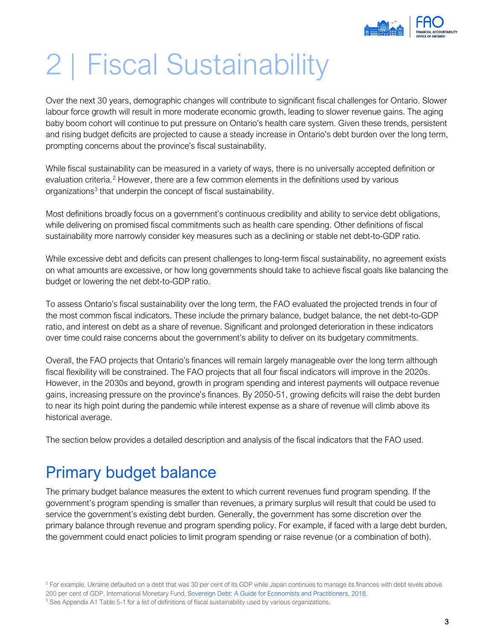

# <span id="page-5-0"></span>2 | Fiscal Sustainability

Over the next 30 years, demographic changes will contribute to significant fiscal challenges for Ontario. Slower labour force growth will result in more moderate economic growth, leading to slower revenue gains. The aging baby boom cohort will continue to put pressure on Ontario's health care system. Given these trends, persistent and rising budget deficits are projected to cause a steady increase in Ontario's debt burden over the long term, prompting concerns about the province's fiscal sustainability.

While fiscal sustainability can be measured in a variety of ways, there is no universally accepted definition or evaluation criteria.<sup>2</sup> However, there are a few common elements in the definitions used by various organizations<sup>[3](#page-5-2)</sup> that underpin the concept of fiscal sustainability.

Most definitions broadly focus on a government's continuous credibility and ability to service debt obligations, while delivering on promised fiscal commitments such as health care spending. Other definitions of fiscal sustainability more narrowly consider key measures such as a declining or stable net debt-to-GDP ratio.

While excessive debt and deficits can present challenges to long-term fiscal sustainability, no agreement exists on what amounts are excessive, or how long governments should take to achieve fiscal goals like balancing the budget or lowering the net debt-to-GDP ratio.

To assess Ontario's fiscal sustainability over the long term, the FAO evaluated the projected trends in four of the most common fiscal indicators. These include the primary balance, budget balance, the net debt-to-GDP ratio, and interest on debt as a share of revenue. Significant and prolonged deterioration in these indicators over time could raise concerns about the government's ability to deliver on its budgetary commitments.

Overall, the FAO projects that Ontario's finances will remain largely manageable over the long term although fiscal flexibility will be constrained. The FAO projects that all four fiscal indicators will improve in the 2020s. However, in the 2030s and beyond, growth in program spending and interest payments will outpace revenue gains, increasing pressure on the province's finances. By 2050-51, growing deficits will raise the debt burden to near its high point during the pandemic while interest expense as a share of revenue will climb above its historical average.

The section below provides a detailed description and analysis of the fiscal indicators that the FAO used.

# Primary budget balance

The primary budget balance measures the extent to which current revenues fund program spending. If the government's program spending is smaller than revenues, a primary surplus will result that could be used to service the government's existing debt burden. Generally, the government has some discretion over the primary balance through revenue and program spending policy. For example, if faced with a large debt burden, the government could enact policies to limit program spending or raise revenue (or a combination of both).

<span id="page-5-1"></span><sup>&</sup>lt;sup>2</sup> For example, Ukraine defaulted on a debt that was 30 per cent of its GDP while Japan continues to manage its finances with debt levels above 200 per cent of GDP. International Monetary Fund[, Sovereign Debt: A Guide for Economists and Practitioners,](https://www.imf.org/%7E/media/Files/News/Seminars/2018/091318SovDebt-conference/chapter-4-debt-sustainability.ashx?la=en) 2018.

<span id="page-5-2"></span><sup>&</sup>lt;sup>3</sup> See Appendix A1 Table 5-1 for a list of definitions of fiscal sustainability used by various organizations.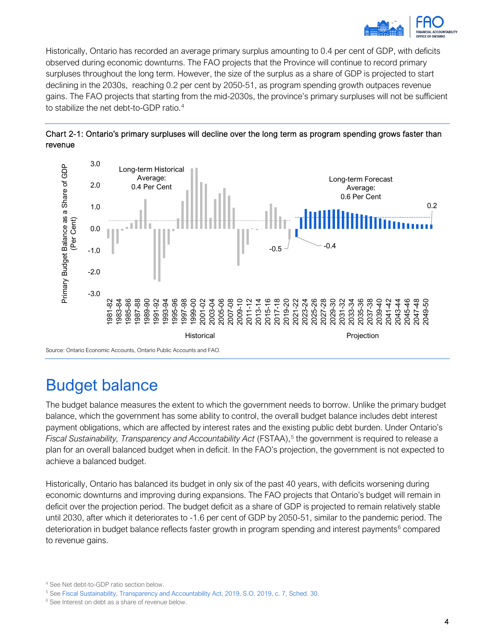

Historically, Ontario has recorded an average primary surplus amounting to 0.4 per cent of GDP, with deficits observed during economic downturns. The FAO projects that the Province will continue to record primary surpluses throughout the long term. However, the size of the surplus as a share of GDP is projected to start declining in the 2030s, reaching 0.2 per cent by 2050-51, as program spending growth outpaces revenue gains. The FAO projects that starting from the mid-2030s, the province's primary surpluses will not be sufficient to stabilize the net debt-to-GDP ratio.<sup>[4](#page-6-0)</sup>





## Budget balance

The budget balance measures the extent to which the government needs to borrow. Unlike the primary budget balance, which the government has some ability to control, the overall budget balance includes debt interest payment obligations, which are affected by interest rates and the existing public debt burden. Under Ontario's *Fiscal Sustainability, Transparency and Accountability Act* (FSTAA), [5](#page-6-1) the government is required to release a plan for an overall balanced budget when in deficit. In the FAO's projection, the government is not expected to achieve a balanced budget.

Historically, Ontario has balanced its budget in only six of the past 40 years, with deficits worsening during economic downturns and improving during expansions. The FAO projects that Ontario's budget will remain in deficit over the projection period. The budget deficit as a share of GDP is projected to remain relatively stable until 2030, after which it deteriorates to -1.6 per cent of GDP by 2050-51, similar to the pandemic period. The deterioration in budget balance reflects faster growth in program spending and interest payments<sup>[6](#page-6-2)</sup> compared to revenue gains.

<span id="page-6-0"></span><sup>&</sup>lt;sup>4</sup> See Net debt-to-GDP ratio section below.<br><sup>5</sup> See [Fiscal Sustainability, Transparency and Accountability Act, 2019, S.O. 2019, c. 7, Sched. 30.](https://www.ontario.ca/laws/statute/19f07c)

<span id="page-6-2"></span><span id="page-6-1"></span><sup>&</sup>lt;sup>6</sup> See Interest on debt as a share of revenue below.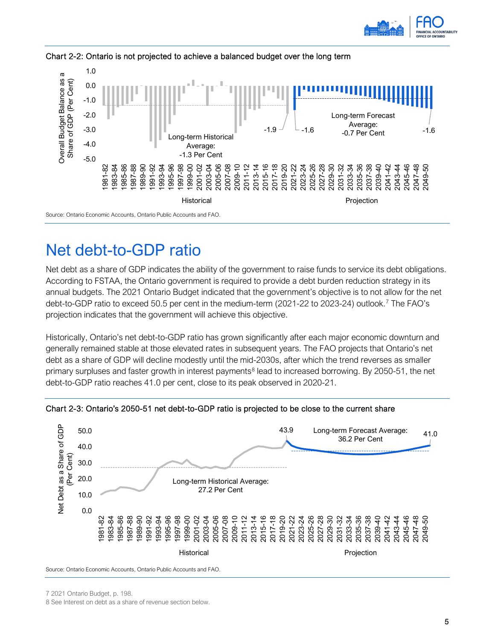



### Chart 2-2: Ontario is not projected to achieve a balanced budget over the long term

## Net debt-to-GDP ratio

Net debt as a share of GDP indicates the ability of the government to raise funds to service its debt obligations. According to FSTAA, the Ontario government is required to provide a debt burden reduction strategy in its annual budgets. The 2021 Ontario Budget indicated that the government's objective is to not allow for the net debt-to-GDP ratio to exceed 50.5 per cent in the medium-term (2021-22 to 2023-24) outlook.<sup>7</sup> The FAO's projection indicates that the government will achieve this objective.

Historically, Ontario's net debt-to-GDP ratio has grown significantly after each major economic downturn and generally remained stable at those elevated rates in subsequent years. The FAO projects that Ontario's net debt as a share of GDP will decline modestly until the mid-2030s, after which the trend reverses as smaller primary surpluses and faster growth in interest payments<sup>[8](#page-7-1)</sup> lead to increased borrowing. By 2050-51, the net debt-to-GDP ratio reaches 41.0 per cent, close to its peak observed in 2020-21.



Chart 2-3: Ontario's 2050-51 net debt-to-GDP ratio is projected to be close to the current share

Source: Ontario Economic Accounts, Ontario Public Accounts and FAO.

<span id="page-7-0"></span>7 2021 Ontario Budget, p. 198.

<span id="page-7-1"></span>8 See Interest on debt as a share of revenue section below.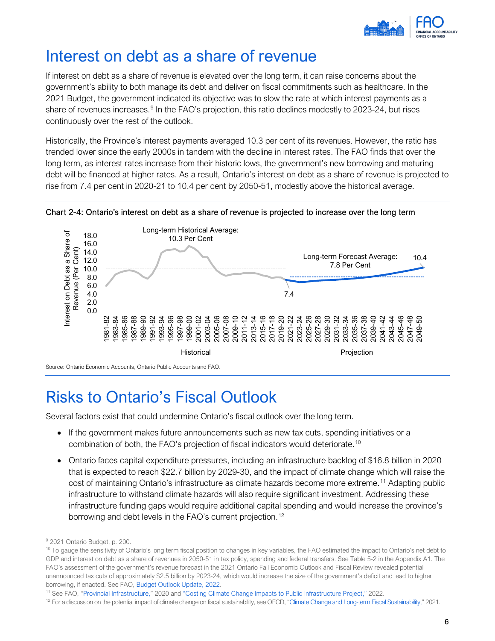

## Interest on debt as a share of revenue

If interest on debt as a share of revenue is elevated over the long term, it can raise concerns about the government's ability to both manage its debt and deliver on fiscal commitments such as healthcare. In the 2021 Budget, the government indicated its objective was to slow the rate at which interest payments as a share of revenues increases.<sup>[9](#page-8-0)</sup> In the FAO's projection, this ratio declines modestly to 2023-24, but rises continuously over the rest of the outlook.

Historically, the Province's interest payments averaged 10.3 per cent of its revenues. However, the ratio has trended lower since the early 2000s in tandem with the decline in interest rates. The FAO finds that over the long term, as interest rates increase from their historic lows, the government's new borrowing and maturing debt will be financed at higher rates. As a result, Ontario's interest on debt as a share of revenue is projected to rise from 7.4 per cent in 2020-21 to 10.4 per cent by 2050-51, modestly above the historical average.



Chart 2-4: Ontario's interest on debt as a share of revenue is projected to increase over the long term

Source: Ontario Economic Accounts, Ontario Public Accounts and FAO.

# Risks to Ontario's Fiscal Outlook

Several factors exist that could undermine Ontario's fiscal outlook over the long term.

- If the government makes future announcements such as new tax cuts, spending initiatives or a combination of both, the FAO's projection of fiscal indicators would deteriorate. [10](#page-8-1)
- Ontario faces capital expenditure pressures, including an infrastructure backlog of \$16.8 billion in 2020 that is expected to reach \$22.7 billion by 2029-30, and the impact of climate change which will raise the cost of maintaining Ontario's infrastructure as climate hazards become more extreme.[11](#page-8-2) Adapting public infrastructure to withstand climate hazards will also require significant investment. Addressing these infrastructure funding gaps would require additional capital spending and would increase the province's borrowing and debt levels in the FAO's current projection.<sup>[12](#page-8-3)</sup>

<span id="page-8-0"></span><sup>9</sup> 2021 Ontario Budget, p. 200.

<span id="page-8-1"></span><sup>&</sup>lt;sup>10</sup> To gauge the sensitivity of Ontario's long term fiscal position to changes in key variables, the FAO estimated the impact to Ontario's net debt to GDP and interest on debt as a share of revenues in 2050-51 in tax policy, spending and federal transfers. See Table 5-2 in the Appendix A1. The FAO's assessment of the government's revenue forecast in the 2021 Ontario Fall Economic Outlook and Fiscal Review revealed potential unannounced tax cuts of approximately \$2.5 billion by 2023-24, which would increase the size of the government's deficit and lead to higher borrowing, if enacted. See FAO[, Budget Outlook Update,](https://www.fao-on.org/en/Blog/Publications/BOU-WI2022) 2022.

<span id="page-8-2"></span><sup>11</sup> See FAO, ["Provincial Infrastructure,](https://fao-on.org/en/Blog/Publications/provincial-infrastructure-2020)" 2020 an[d "Costing Climate Change Impacts to Public Infrastructure Project,"](https://www.fao-on.org/en/Blog/Publications/cipi-buildings) 2022.

<span id="page-8-3"></span> $12$  For a discussion on the potential impact of climate change on fiscal sustainability, see OECD, ["Climate Change and Long-term Fiscal Sustainability,"](https://www.oecd.org/gov/budgeting/scoping-paper-on-fiscal-sustainability-and-climate-change.pdf) 2021.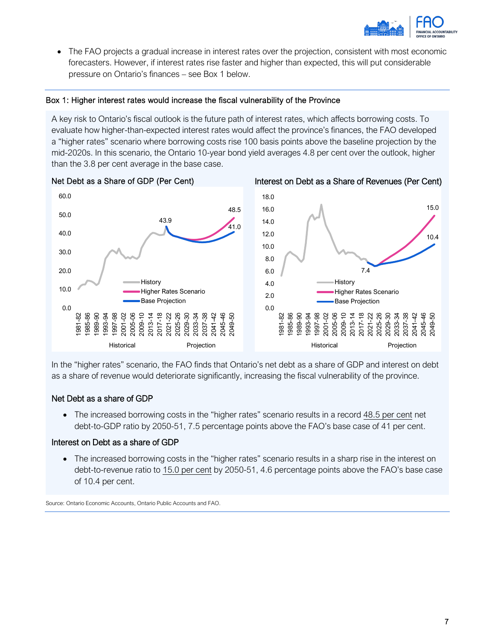

• The FAO projects a gradual increase in interest rates over the projection, consistent with most economic forecasters. However, if interest rates rise faster and higher than expected, this will put considerable pressure on Ontario's finances – see Box 1 below.

#### Box 1: Higher interest rates would increase the fiscal vulnerability of the Province

A key risk to Ontario's fiscal outlook is the future path of interest rates, which affects borrowing costs. To evaluate how higher-than-expected interest rates would affect the province's finances, the FAO developed a "higher rates" scenario where borrowing costs rise 100 basis points above the baseline projection by the mid-2020s. In this scenario, the Ontario 10-year bond yield averages 4.8 per cent over the outlook, higher than the 3.8 per cent average in the base case.



In the "higher rates" scenario, the FAO finds that Ontario's net debt as a share of GDP and interest on debt as a share of revenue would deteriorate significantly, increasing the fiscal vulnerability of the province.

### Net Debt as a share of GDP

• The increased borrowing costs in the "higher rates" scenario results in a record 48.5 per cent net debt-to-GDP ratio by 2050-51, 7.5 percentage points above the FAO's base case of 41 per cent.

#### Interest on Debt as a share of GDP

• The increased borrowing costs in the "higher rates" scenario results in a sharp rise in the interest on debt-to-revenue ratio to 15.0 per cent by 2050-51, 4.6 percentage points above the FAO's base case of 10.4 per cent.

Source: Ontario Economic Accounts, Ontario Public Accounts and FAO.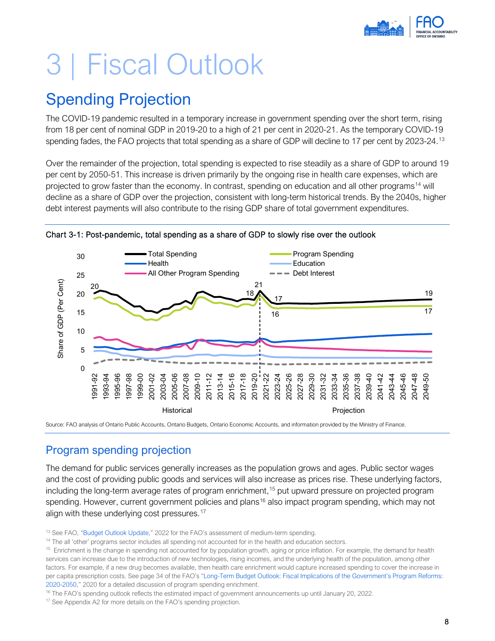# <span id="page-10-0"></span>3 | Fiscal Outlook

# Spending Projection

The COVID-19 pandemic resulted in a temporary increase in government spending over the short term, rising from 18 per cent of nominal GDP in 2019-20 to a high of 21 per cent in 2020-21. As the temporary COVID-19 spending fades, the FAO projects that total spending as a share of GDP will decline to 17 per cent by 2023-24.<sup>[13](#page-10-1)</sup>

Over the remainder of the projection, total spending is expected to rise steadily as a share of GDP to around 19 per cent by 2050-51. This increase is driven primarily by the ongoing rise in health care expenses, which are projected to grow faster than the economy. In contrast, spending on education and all other programs<sup>[14](#page-10-2)</sup> will decline as a share of GDP over the projection, consistent with long-term historical trends. By the 2040s, higher debt interest payments will also contribute to the rising GDP share of total government expenditures.



Chart 3-1: Post-pandemic, total spending as a share of GDP to slowly rise over the outlook

Source: FAO analysis of Ontario Public Accounts, Ontario Budgets, Ontario Economic Accounts, and information provided by the Ministry of Finance.

## Program spending projection

The demand for public services generally increases as the population grows and ages. Public sector wages and the cost of providing public goods and services will also increase as prices rise. These underlying factors, including the long-term average rates of program enrichment, [15](#page-10-3) put upward pressure on projected program spending. However, current government policies and plans<sup>16</sup> also impact program spending, which may not align with these underlying cost pressures.<sup>[17](#page-10-5)</sup>

<span id="page-10-5"></span>

<span id="page-10-1"></span><sup>&</sup>lt;sup>13</sup> See FAO, ["Budget Outlook Update,](https://fao-on.org/en/Blog/Publications/BOU-WI2022)" 2022 for the FAO's assessment of medium-term spending.

<span id="page-10-2"></span><sup>&</sup>lt;sup>14</sup> The all 'other' programs sector includes all spending not accounted for in the health and education sectors.

<span id="page-10-3"></span><sup>&</sup>lt;sup>15</sup> Enrichment is the change in spending not accounted for by population growth, aging or price inflation. For example, the demand for health services can increase due to the introduction of new technologies, rising incomes, and the underlying health of the population, among other factors. For example, if a new drug becomes available, then health care enrichment would capture increased spending to cover the increase in per capita prescription costs. See page 34 of the FAO's ["Long-Term Budget Outlook: Fiscal Implications of the Government's Program Reforms:](https://fao-on.org/en/Blog/Publications/LITBO-fiscal-2020#_Toc33793928)  [2020-2050,](https://fao-on.org/en/Blog/Publications/LITBO-fiscal-2020#_Toc33793928)" 2020 for a detailed discussion of program spending enrichment.

<span id="page-10-4"></span><sup>&</sup>lt;sup>16</sup> The FAO's spending outlook reflects the estimated impact of government announcements up until January 20, 2022. <sup>17</sup> See Appendix A2 for more details on the FAO's spending projection.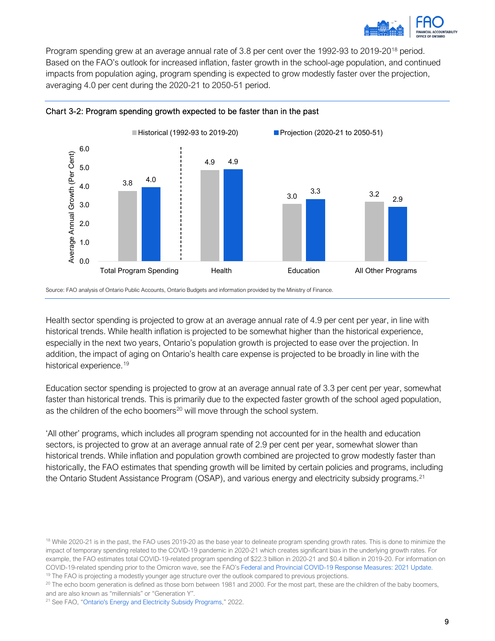

Program spending grew at an average annual rate of 3.8 per cent over the 1992-93 to 2019-20<sup>[18](#page-11-0)</sup> period. Based on the FAO's outlook for increased inflation, faster growth in the school-age population, and continued impacts from population aging, program spending is expected to grow modestly faster over the projection, averaging 4.0 per cent during the 2020-21 to 2050-51 period.



#### Chart 3-2: Program spending growth expected to be faster than in the past

Source: FAO analysis of Ontario Public Accounts, Ontario Budgets and information provided by the Ministry of Finance.

Health sector spending is projected to grow at an average annual rate of 4.9 per cent per year, in line with historical trends. While health inflation is projected to be somewhat higher than the historical experience, especially in the next two years, Ontario's population growth is projected to ease over the projection. In addition, the impact of aging on Ontario's health care expense is projected to be broadly in line with the historical experience.<sup>[19](#page-11-1)</sup>

Education sector spending is projected to grow at an average annual rate of 3.3 per cent per year, somewhat faster than historical trends. This is primarily due to the expected faster growth of the school aged population, as the children of the echo boomers<sup>[20](#page-11-2)</sup> will move through the school system.

'All other' programs, which includes all program spending not accounted for in the health and education sectors, is projected to grow at an average annual rate of 2.9 per cent per year, somewhat slower than historical trends. While inflation and population growth combined are projected to grow modestly faster than historically, the FAO estimates that spending growth will be limited by certain policies and programs, including the Ontario Student Assistance Program (OSAP), and various energy and electricity subsidy programs.[21](#page-11-3) 

<span id="page-11-2"></span> $^{20}$  The echo boom generation is defined as those born between 1981 and 2000. For the most part, these are the children of the baby boomers, and are also known as "millennials" or "Generation Y".

<span id="page-11-0"></span><sup>&</sup>lt;sup>18</sup> While 2020-21 is in the past, the FAO uses 2019-20 as the base year to delineate program spending growth rates. This is done to minimize the impact of temporary spending related to the COVID-19 pandemic in 2020-21 which creates significant bias in the underlying growth rates. For example, the FAO estimates total COVID-19-related program spending of \$22.3 billion in 2020-21 and \$0.4 billion in 2019-20. For information on COVID-19-related spending prior to the Omicron wave, see the FAO's [Federal and Provincial COVID-19 Response Measures: 2021 Update.](https://fao-on.org/en/Blog/Publications/fed-prov-response-2021)

<span id="page-11-1"></span><sup>&</sup>lt;sup>19</sup> The FAO is projecting a modestly younger age structure over the outlook compared to previous projections.

<span id="page-11-3"></span><sup>&</sup>lt;sup>21</sup> See FAO, ["Ontario's Energy and Electricity Subsidy Programs,"](https://fao-on.org/en/Blog/Publications/energy-and-electricity-2022) 2022.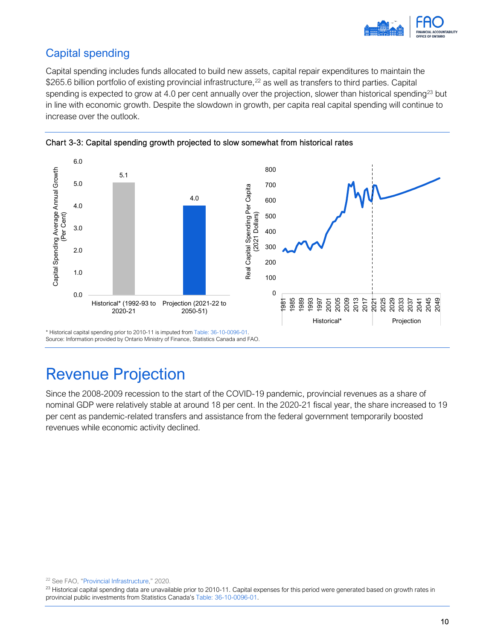

## Capital spending

Capital spending includes funds allocated to build new assets, capital repair expenditures to maintain the \$265.6 billion portfolio of existing provincial infrastructure,<sup>22</sup> as well as transfers to third parties. Capital spending is expected to grow at 4.0 per cent annually over the projection, slower than historical spending<sup>23</sup> but in line with economic growth. Despite the slowdown in growth, per capita real capital spending will continue to increase over the outlook.



Chart 3-3: Capital spending growth projected to slow somewhat from historical rates

Source: Information provided by Ontario Ministry of Finance, Statistics Canada and FAO.

## Revenue Projection

Since the 2008-2009 recession to the start of the COVID-19 pandemic, provincial revenues as a share of nominal GDP were relatively stable at around 18 per cent. In the 2020-21 fiscal year, the share increased to 19 per cent as pandemic-related transfers and assistance from the federal government temporarily boosted revenues while economic activity declined.

<span id="page-12-0"></span><sup>22</sup> See FAO, ["Provincial Infrastructure,](https://fao-on.org/en/Blog/Publications/provincial-infrastructure-2020)" 2020.

<span id="page-12-1"></span><sup>&</sup>lt;sup>23</sup> Historical capital spending data are unavailable prior to 2010-11. Capital expenses for this period were generated based on growth rates in provincial public investments from Statistics Canada'[s Table: 36-10-0096-01.](https://www150.statcan.gc.ca/t1/tbl1/en/tv.action?pid=3610009601)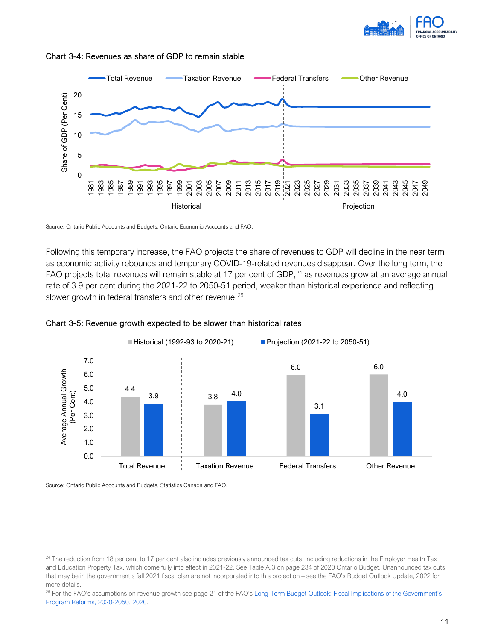





Source: Ontario Public Accounts and Budgets, Ontario Economic Accounts and FAO.

Following this temporary increase, the FAO projects the share of revenues to GDP will decline in the near term as economic activity rebounds and temporary COVID-19-related revenues disappear. Over the long term, the FAO projects total revenues will remain stable at 17 per cent of GDP,<sup>[24](#page-13-0)</sup> as revenues grow at an average annual rate of 3.9 per cent during the 2021-22 to 2050-51 period, weaker than historical experience and reflecting slower growth in federal transfers and other revenue.<sup>[25](#page-13-1)</sup>



#### Chart 3-5: Revenue growth expected to be slower than historical rates

Source: Ontario Public Accounts and Budgets, Statistics Canada and FAO.

<span id="page-13-1"></span><sup>25</sup> For the FAO's assumptions on revenue growth see page 21 of the FAO's [Long-Term Budget Outlook:](https://fao-on.org/web/default/files/publications/EC1905%20LTBO/LTBO%20Fiscal_2020.pdf) Fiscal Implications of the Government's Program Reforms, 2020-2050, 2020.

<span id="page-13-0"></span><sup>&</sup>lt;sup>24</sup> The reduction from 18 per cent to 17 per cent also includes previously announced tax cuts, including reductions in the Employer Health Tax and Education Property Tax, which come fully into effect in 2021-22. See Table A.3 on page 234 of 2020 Ontario Budget. Unannounced tax cuts that may be in the government's fall 2021 fiscal plan are not incorporated into this projection – see the FAO's Budget Outlook Update, 2022 for more details.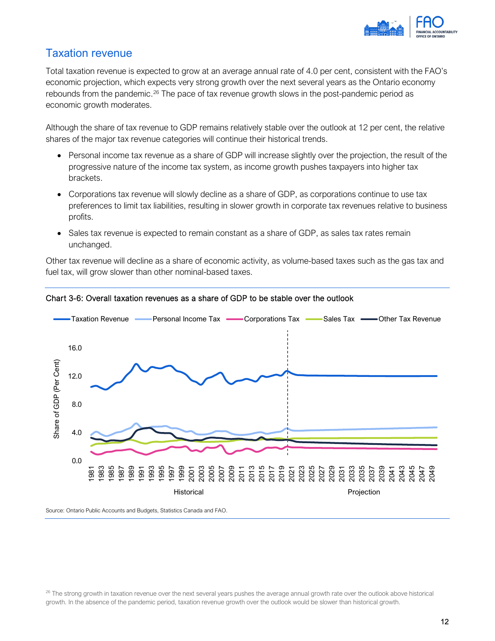

## Taxation revenue

Total taxation revenue is expected to grow at an average annual rate of 4.0 per cent, consistent with the FAO's economic projection, which expects very strong growth over the next several years as the Ontario economy rebounds from the pandemic.<sup>[26](#page-14-0)</sup> The pace of tax revenue growth slows in the post-pandemic period as economic growth moderates.

Although the share of tax revenue to GDP remains relatively stable over the outlook at 12 per cent, the relative shares of the major tax revenue categories will continue their historical trends.

- Personal income tax revenue as a share of GDP will increase slightly over the projection, the result of the progressive nature of the income tax system, as income growth pushes taxpayers into higher tax brackets.
- Corporations tax revenue will slowly decline as a share of GDP, as corporations continue to use tax preferences to limit tax liabilities, resulting in slower growth in corporate tax revenues relative to business profits.
- Sales tax revenue is expected to remain constant as a share of GDP, as sales tax rates remain unchanged.

Other tax revenue will decline as a share of economic activity, as volume-based taxes such as the gas tax and fuel tax, will grow slower than other nominal-based taxes.





Source: Ontario Public Accounts and Budgets, Statistics Canada and FAO.

<span id="page-14-0"></span> $^{26}$  The strong growth in taxation revenue over the next several years pushes the average annual growth rate over the outlook above historical growth. In the absence of the pandemic period, taxation revenue growth over the outlook would be slower than historical growth.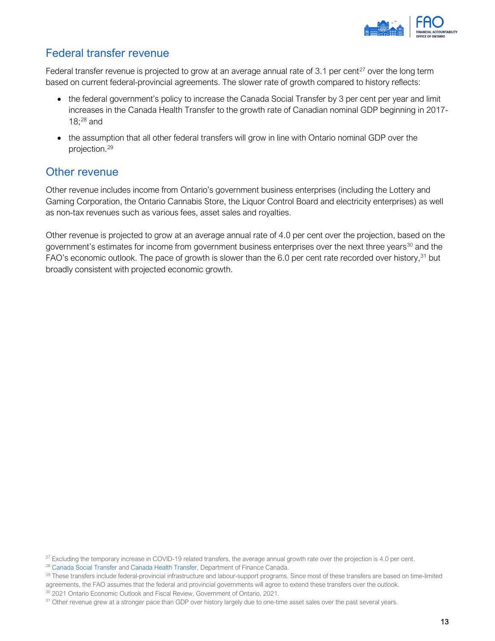

## Federal transfer revenue

Federal transfer revenue is projected to grow at an average annual rate of 3.1 per cent<sup>[27](#page-15-0)</sup> over the long term based on current federal-provincial agreements. The slower rate of growth compared to history reflects:

- the federal government's policy to increase the Canada Social Transfer by 3 per cent per year and limit increases in the Canada Health Transfer to the growth rate of Canadian nominal GDP beginning in 2017- 18; [28](#page-15-1) and
- the assumption that all other federal transfers will grow in line with Ontario nominal GDP over the projection. [29](#page-15-2)

## Other revenue

Other revenue includes income from Ontario's government business enterprises (including the Lottery and Gaming Corporation, the Ontario Cannabis Store, the Liquor Control Board and electricity enterprises) as well as non-tax revenues such as various fees, asset sales and royalties.

Other revenue is projected to grow at an average annual rate of 4.0 per cent over the projection, based on the government's estimates for income from government business enterprises over the next three years<sup>[30](#page-15-3)</sup> and the FAO's economic outlook. The pace of growth is slower than the 6.0 per cent rate recorded over history,<sup>[31](#page-15-4)</sup> but broadly consistent with projected economic growth.

<span id="page-15-1"></span><span id="page-15-0"></span><sup>&</sup>lt;sup>27</sup> Excluding the temporary increase in COVID-19 related transfers, the average annual growth rate over the projection is 4.0 per cent.  $^{28}$  $^{28}$  $^{28}$  Canada Social Transfer and [Canada Health Transfer,](https://www.canada.ca/en/department-finance/programs/federal-transfers/canada-health-transfer.html) Department of Finance Cana

<span id="page-15-2"></span><sup>&</sup>lt;sup>29</sup> These transfers include federal-provincial infrastructure and labour-support programs. Since most of these transfers are based on time-limited agreements, the FAO assumes that the federal and provincial governments will agree to extend these transfers over the outlook. <sup>30</sup> 2021 Ontario Economic Outlook and Fiscal Review, Government of Ontario, 2021.

<span id="page-15-4"></span><span id="page-15-3"></span><sup>&</sup>lt;sup>31</sup> Other revenue grew at a stronger pace than GDP over history largely due to one-time asset sales over the past several years.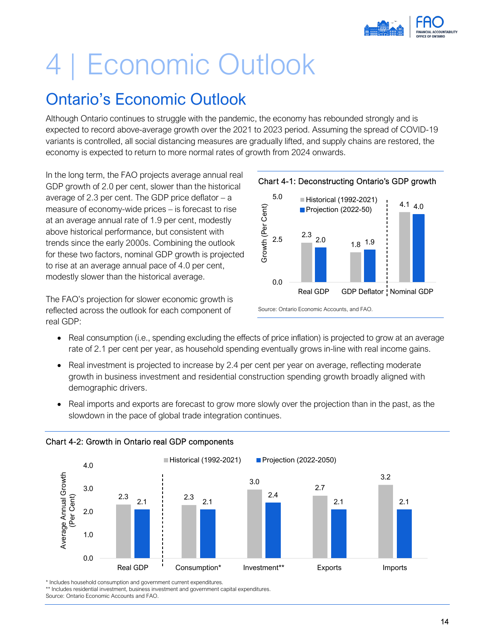

# <span id="page-16-0"></span>4 | Economic Outlook

# Ontario's Economic Outlook

Although Ontario continues to struggle with the pandemic, the economy has rebounded strongly and is expected to record above-average growth over the 2021 to 2023 period. Assuming the spread of COVID-19 variants is controlled, all social distancing measures are gradually lifted, and supply chains are restored, the economy is expected to return to more normal rates of growth from 2024 onwards.

In the long term, the FAO projects average annual real GDP growth of 2.0 per cent, slower than the historical average of 2.3 per cent. The GDP price deflator  $- a$ measure of economy-wide prices – is forecast to rise at an average annual rate of 1.9 per cent, modestly above historical performance, but consistent with trends since the early 2000s. Combining the outlook for these two factors, nominal GDP growth is projected to rise at an average annual pace of 4.0 per cent, modestly slower than the historical average.

The FAO's projection for slower economic growth is reflected across the outlook for each component of real GDP:



- Real consumption (i.e., spending excluding the effects of price inflation) is projected to grow at an average rate of 2.1 per cent per year, as household spending eventually grows in-line with real income gains.
- Real investment is projected to increase by 2.4 per cent per year on average, reflecting moderate growth in business investment and residential construction spending growth broadly aligned with demographic drivers.
- Real imports and exports are forecast to grow more slowly over the projection than in the past, as the slowdown in the pace of global trade integration continues.



## Chart 4-2: Growth in Ontario real GDP components

\* Includes household consumption and government current expenditures.

\*\* Includes residential investment, business investment and government capital expenditures.

Source: Ontario Economic Accounts and FAO.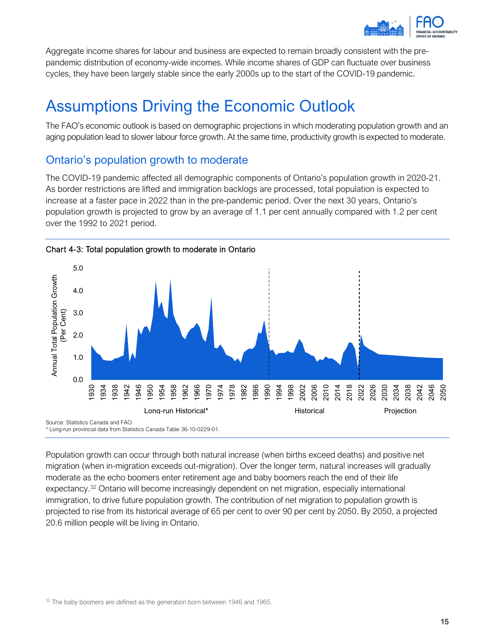

Aggregate income shares for labour and business are expected to remain broadly consistent with the prepandemic distribution of economy-wide incomes. While income shares of GDP can fluctuate over business cycles, they have been largely stable since the early 2000s up to the start of the COVID-19 pandemic.

# Assumptions Driving the Economic Outlook

The FAO's economic outlook is based on demographic projections in which moderating population growth and an aging population lead to slower labour force growth. At the same time, productivity growth is expected to moderate.

## Ontario's population growth to moderate

The COVID-19 pandemic affected all demographic components of Ontario's population growth in 2020-21. As border restrictions are lifted and immigration backlogs are processed, total population is expected to increase at a faster pace in 2022 than in the pre-pandemic period. Over the next 30 years, Ontario's population growth is projected to grow by an average of 1.1 per cent annually compared with 1.2 per cent over the 1992 to 2021 period.



<span id="page-17-0"></span>Population growth can occur through both natural increase (when births exceed deaths) and positive net migration (when in-migration exceeds out-migration). Over the longer term, natural increases will gradually moderate as the echo boomers enter retirement age and baby boomers reach the end of their life expectancy.<sup>[32](#page-17-0)</sup> Ontario will become increasingly dependent on net migration, especially international immigration, to drive future population growth. The contribution of net migration to population growth is projected to rise from its historical average of 65 per cent to over 90 per cent by 2050. By 2050, a projected 20.6 million people will be living in Ontario.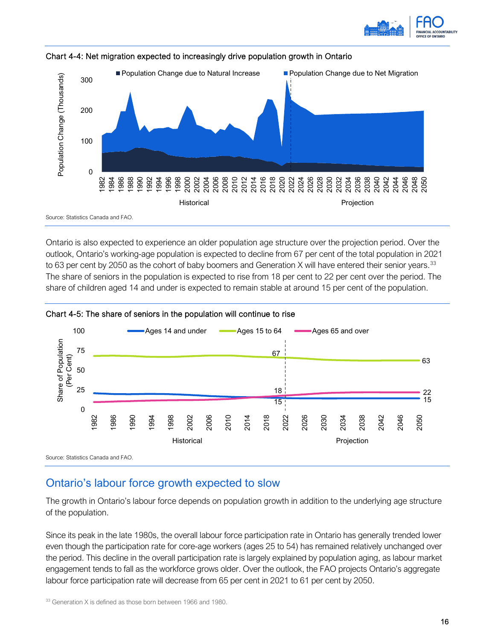





Ontario is also expected to experience an older population age structure over the projection period. Over the outlook, Ontario's working-age population is expected to decline from 67 per cent of the total population in 2021 to 63 per cent by 2050 as the cohort of baby boomers and Generation X will have entered their senior years.<sup>[33](#page-18-0)</sup> The share of seniors in the population is expected to rise from 18 per cent to 22 per cent over the period. The share of children aged 14 and under is expected to remain stable at around 15 per cent of the population.



#### Chart 4-5: The share of seniors in the population will continue to rise

Ontario's labour force growth expected to slow

The growth in Ontario's labour force depends on population growth in addition to the underlying age structure of the population.

Since its peak in the late 1980s, the overall labour force participation rate in Ontario has generally trended lower even though the participation rate for core-age workers (ages 25 to 54) has remained relatively unchanged over the period. This decline in the overall participation rate is largely explained by population aging, as labour market engagement tends to fall as the workforce grows older. Over the outlook, the FAO projects Ontario's aggregate labour force participation rate will decrease from 65 per cent in 2021 to 61 per cent by 2050.

<span id="page-18-0"></span><sup>33</sup> Generation X is defined as those born between 1966 and 1980.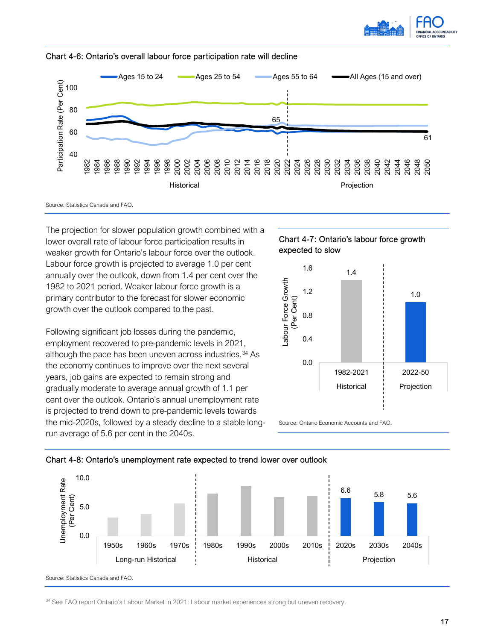





Source: Statistics Canada and FAO.

The projection for slower population growth combined with a lower overall rate of labour force participation results in weaker growth for Ontario's labour force over the outlook. Labour force growth is projected to average 1.0 per cent annually over the outlook, down from 1.4 per cent over the 1982 to 2021 period. Weaker labour force growth is a primary contributor to the forecast for slower economic growth over the outlook compared to the past.

Following significant job losses during the pandemic, employment recovered to pre-pandemic levels in 2021, although the pace has been uneven across industries.<sup>[34](#page-19-0)</sup> As the economy continues to improve over the next several years, job gains are expected to remain strong and gradually moderate to average annual growth of 1.1 per cent over the outlook. Ontario's annual unemployment rate is projected to trend down to pre-pandemic levels towards the mid-2020s, followed by a steady decline to a stable longrun average of 5.6 per cent in the 2040s.





Source: Ontario Economic Accounts and FAO.





<span id="page-19-0"></span>34 See FAO report Ontario's Labour Market in 2021: Labour market experiences strong but uneven recovery.

Source: Statistics Canada and FAO.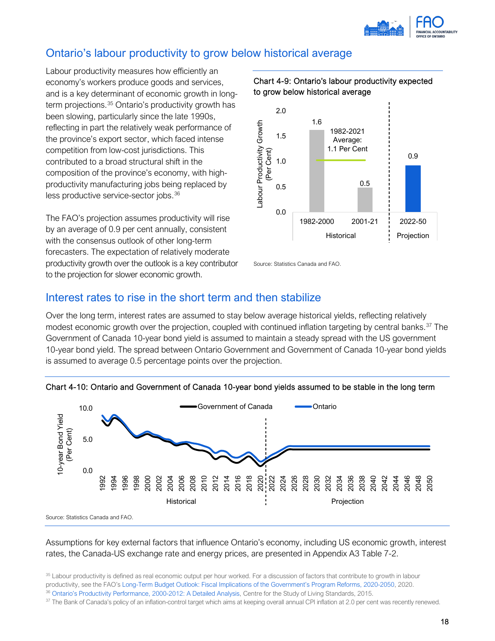

## Ontario's labour productivity to grow below historical average

Labour productivity measures how efficiently an economy's workers produce goods and services, and is a key determinant of economic growth in longterm projections.[35](#page-20-0) Ontario's productivity growth has been slowing, particularly since the late 1990s, reflecting in part the relatively weak performance of the province's export sector, which faced intense competition from low-cost jurisdictions. This contributed to a broad structural shift in the composition of the province's economy, with highproductivity manufacturing jobs being replaced by less productive service-sector jobs.[36](#page-20-1)

The FAO's projection assumes productivity will rise by an average of 0.9 per cent annually, consistent with the consensus outlook of other long-term forecasters. The expectation of relatively moderate productivity growth over the outlook is a key contributor to the projection for slower economic growth.





Source: Statistics Canada and FAO.

## Interest rates to rise in the short term and then stabilize

Over the long term, interest rates are assumed to stay below average historical yields, reflecting relatively modest economic growth over the projection, coupled with continued inflation targeting by central banks.<sup>[37](#page-20-2)</sup> The Government of Canada 10-year bond yield is assumed to maintain a steady spread with the US government 10-year bond yield. The spread between Ontario Government and Government of Canada 10-year bond yields is assumed to average 0.5 percentage points over the projection.



#### Chart 4-10: Ontario and Government of Canada 10-year bond yields assumed to be stable in the long term

Assumptions for key external factors that influence Ontario's economy, including US economic growth, interest rates, the Canada-US exchange rate and energy prices, are presented in Appendix A3 Table 7-2.

<span id="page-20-0"></span><sup>&</sup>lt;sup>35</sup> Labour productivity is defined as real economic output per hour worked. For a discussion of factors that contribute to growth in labour

productivity, see the FAO'[s Long-Term Budget Outlook:](https://fao-on.org/en/Blog/Publications/LITBO-fiscal-2020) Fiscal Implications of the Government's Program Reforms, 2020-2050, 2020.

<span id="page-20-1"></span><sup>36</sup> [Ontario's Productivity Performance, 2000-2012: A Detailed Analysis,](http://www.csls.ca/reports/csls2015-04.pdf) Centre for the Study of Living Standards, 2015.

<span id="page-20-2"></span><sup>&</sup>lt;sup>37</sup> The Bank of Canada's policy of an inflation-control target which aims at keeping overall annual CPI inflation at 2.0 per cent was recently renewed.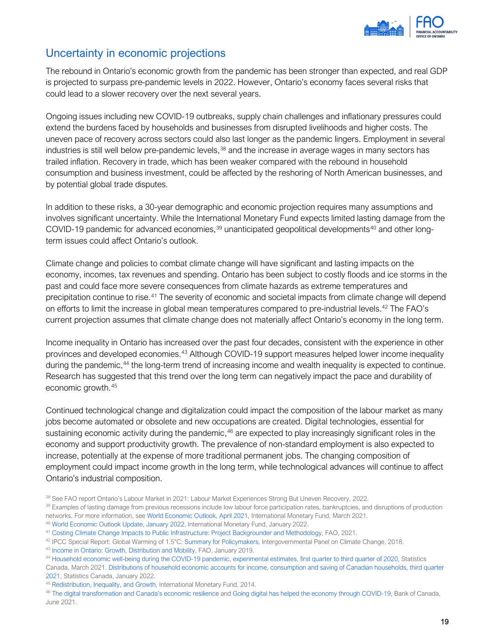

## Uncertainty in economic projections

The rebound in Ontario's economic growth from the pandemic has been stronger than expected, and real GDP is projected to surpass pre-pandemic levels in 2022. However, Ontario's economy faces several risks that could lead to a slower recovery over the next several years.

Ongoing issues including new COVID-19 outbreaks, supply chain challenges and inflationary pressures could extend the burdens faced by households and businesses from disrupted livelihoods and higher costs. The uneven pace of recovery across sectors could also last longer as the pandemic lingers. Employment in several industries is still well below pre-pandemic levels,<sup>[38](#page-21-1)</sup> and the increase in average wages in many sectors has trailed inflation. Recovery in trade, which has been weaker compared with the rebound in household consumption and business investment, could be affected by the reshoring of North American businesses, and by potential global trade disputes.

In addition to these risks, a 30-year demographic and economic projection requires many assumptions and involves significant uncertainty. While the International Monetary Fund expects limited lasting damage from the COVID-19 pandemic for advanced economies, $39$  unanticipated geopolitical developments<sup>[40](#page-21-3)</sup> and other longterm issues could affect Ontario's outlook.

Climate change and policies to combat climate change will have significant and lasting impacts on the economy, incomes, tax revenues and spending. Ontario has been subject to costly floods and ice storms in the past and could face more severe consequences from climate hazards as extreme temperatures and precipitation continue to rise.[41](#page-21-4) The severity of economic and societal impacts from climate change will depend on efforts to limit the increase in global mean temperatures compared to pre-industrial levels.<sup>[42](#page-21-5)</sup> The FAO's current projection assumes that climate change does not materially affect Ontario's economy in the long term.

Income inequality in Ontario has increased over the past four decades, consistent with the experience in other provinces and developed economies.[43](#page-21-6) Although COVID-19 support measures helped lower income inequality during the pandemic,<sup>[44](#page-21-7)</sup> the long-term trend of increasing income and wealth inequality is expected to continue. Research has suggested that this trend over the long term can negatively impact the pace and durability of economic growth.[45](#page-21-8)

Continued technological change and digitalization could impact the composition of the labour market as many jobs become automated or obsolete and new occupations are created. Digital technologies, essential for sustaining economic activity during the pandemic,<sup>[46](#page-21-9)</sup> are expected to play increasingly significant roles in the economy and support productivity growth. The prevalence of non-standard employment is also expected to increase, potentially at the expense of more traditional permanent jobs. The changing composition of employment could impact income growth in the long term, while technological advances will continue to affect Ontario's industrial composition.

<span id="page-21-1"></span><span id="page-21-0"></span><sup>38</sup> See FAO report Ontario's Labour Market in 2021: Labour Market Experiences Strong But Uneven Recovery, 2022.

<span id="page-21-2"></span><sup>&</sup>lt;sup>39</sup> Examples of lasting damage from previous recessions include low labour force participation rates, bankruptcies, and disruptions of production networks. For more information, see [World Economic Outlook, April 2021,](https://www.imf.org/en/Publications/WEO/Issues/2021/03/23/world-economic-outlook-april-2021) International Monetary Fund, March 2021.

<span id="page-21-3"></span><sup>&</sup>lt;sup>40</sup> [World Economic Outlook Update,](https://www.imf.org/en/Publications/WEO/Issues/2022/01/25/world-economic-outlook-update-january-2022) January 2022, International Monetary Fund, January 2022.

<span id="page-21-4"></span><sup>41</sup> [Costing Climate Change Impacts to Public Infrastructure: Project Backgrounder and Methodology,](https://fao-on.org/en/Blog/Publications/cipi-backgrounder) FAO, 2021.

<span id="page-21-5"></span><sup>42</sup> IPCC Special Report: Global Warming of 1.5°C[: Summary for Policymakers,](https://www.ipcc.ch/site/assets/uploads/sites/2/2019/05/SR15_SPM_version_report_LR.pdf) Intergovernmental Panel on Climate Change, 2018.

<span id="page-21-6"></span><sup>43</sup> [Income in Ontario: Growth, Distribution and Mobility,](https://www.fao-on.org/en/Blog/Publications/income-report-2019) FAO, January 2019.

<span id="page-21-7"></span><sup>44</sup> [Household economic well-being during the COVID-19 pandemic, experimental estimates, first quarter to third quarter of 2020,](https://www150.statcan.gc.ca/n1/daily-quotidien/210301/dq210301b-eng.htm) Statistics Canada, March 2021. [Distributions of household economic accounts for income, consumption and saving of Canadian households, third quarter](https://www150.statcan.gc.ca/n1/daily-quotidien/220128/dq220128a-eng.htm)  [2021,](https://www150.statcan.gc.ca/n1/daily-quotidien/220128/dq220128a-eng.htm) Statistics Canada, January 2022.

<span id="page-21-8"></span><sup>45</sup> [Redistribution, Inequality, and Growth,](https://www.imf.org/external/pubs/ft/sdn/2014/sdn1402.pdf) International Monetary Fund, 2014.

<span id="page-21-9"></span><sup>&</sup>lt;sup>46</sup> [The digital transformation and Canada's economic resilience](https://www.bankofcanada.ca/2021/06/digital-transformation-canada-economic-resilience/) and [Going digital has helped the economy through COVID-19,](https://www.bankofcanada.ca/2021/06/going-digital-has-helped-the-economy-through-covid-19/) Bank of Canada, June 2021.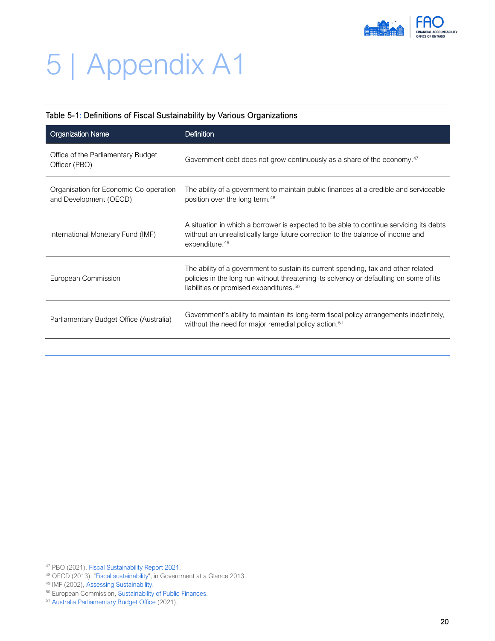

# 5 | Appendix A1

## Table 5-1: Definitions of Fiscal Sustainability by Various Organizations

| Government debt does not grow continuously as a share of the economy. <sup>47</sup>                                                                                                                                                 |
|-------------------------------------------------------------------------------------------------------------------------------------------------------------------------------------------------------------------------------------|
| The ability of a government to maintain public finances at a credible and serviceable<br>position over the long term. <sup>48</sup>                                                                                                 |
| A situation in which a borrower is expected to be able to continue servicing its debts<br>without an unrealistically large future correction to the balance of income and                                                           |
| The ability of a government to sustain its current spending, tax and other related<br>policies in the long run without threatening its solvency or defaulting on some of its<br>liabilities or promised expenditures. <sup>50</sup> |
| Government's ability to maintain its long-term fiscal policy arrangements indefinitely,<br>without the need for major remedial policy action. <sup>51</sup>                                                                         |
|                                                                                                                                                                                                                                     |

<span id="page-22-0"></span><sup>47</sup> PBO (2021), [Fiscal Sustainability Report 2021.](https://distribution-a617274656661637473.pbo-dpb.ca/93a1e3bc1b4432c0b2eac192241b866d36c048b5efc1aa8224e15364551f0c8e)

<span id="page-22-2"></span><span id="page-22-1"></span><sup>&</sup>lt;sup>48</sup> OECD (2013), ["Fiscal sustainability",](https://www.oecd-ilibrary.org/governance/government-at-a-glance-2013/fiscal-sustainability_gov_glance-2013-11-en) in Government at a Glance 2013.<br><sup>49</sup> IMF (2002)[, Assessing Sustainability.](https://www.imf.org/external/np/pdr/sus/2002/eng/052802.htm)<br><sup>50</sup> European Commission, Sustainability of Public Finances.

<span id="page-22-4"></span><span id="page-22-3"></span><sup>&</sup>lt;sup>51</sup> [Australia Parliamentary Budget Office](https://www.aph.gov.au/-/media/05_About_Parliament/54_Parliamentary_Depts/548_Parliamentary_Budget_Office/Reports/2020-21/Fiscal_sustainability/Fiscal_sustainability_-_PDF.pdf?la=en&hash=5A09211D39E49290419EB2D31BFD1E7ECA49C9EB) (2021).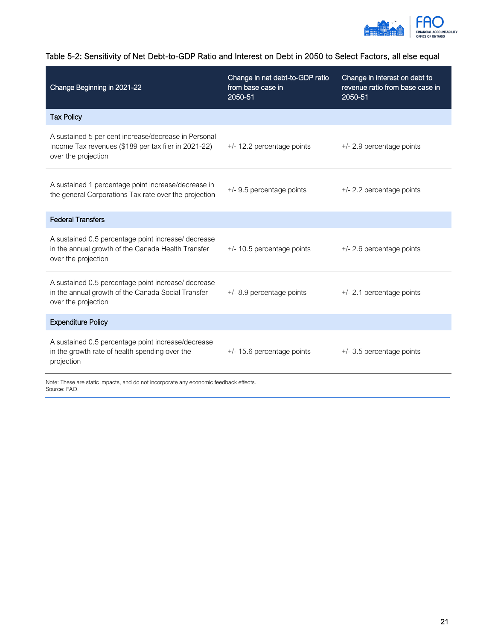

| Change Beginning in 2021-22                                                                                                         | Change in net debt-to-GDP ratio<br>from base case in<br>2050-51 | Change in interest on debt to<br>revenue ratio from base case in<br>2050-51 |
|-------------------------------------------------------------------------------------------------------------------------------------|-----------------------------------------------------------------|-----------------------------------------------------------------------------|
| <b>Tax Policy</b>                                                                                                                   |                                                                 |                                                                             |
| A sustained 5 per cent increase/decrease in Personal<br>Income Tax revenues (\$189 per tax filer in 2021-22)<br>over the projection | +/- 12.2 percentage points                                      | +/- 2.9 percentage points                                                   |
| A sustained 1 percentage point increase/decrease in<br>the general Corporations Tax rate over the projection                        | +/- 9.5 percentage points                                       | +/- 2.2 percentage points                                                   |
| <b>Federal Transfers</b>                                                                                                            |                                                                 |                                                                             |
| A sustained 0.5 percentage point increase/ decrease<br>in the annual growth of the Canada Health Transfer<br>over the projection    | $+/- 10.5$ percentage points                                    | +/- 2.6 percentage points                                                   |
| A sustained 0.5 percentage point increase/ decrease<br>in the annual growth of the Canada Social Transfer<br>over the projection    | +/- 8.9 percentage points                                       | +/- 2.1 percentage points                                                   |
| <b>Expenditure Policy</b>                                                                                                           |                                                                 |                                                                             |
| A sustained 0.5 percentage point increase/decrease<br>in the growth rate of health spending over the<br>projection                  | +/- 15.6 percentage points                                      | +/- 3.5 percentage points                                                   |
| Note: These are static impacts, and do not incorporate any economic feedback effects.<br>Source: FAO.                               |                                                                 |                                                                             |

## Table 5-2: Sensitivity of Net Debt-to-GDP Ratio and Interest on Debt in 2050 to Select Factors, all else equal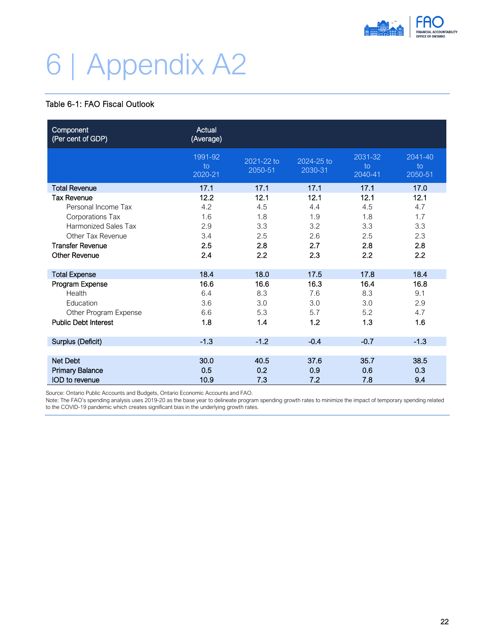

# <span id="page-24-0"></span>6 | Appendix A2

## Table 6-1: FAO Fiscal Outlook

| Component<br>(Per cent of GDP) | Actual<br>(Average)      |                       |                       |                          |                          |
|--------------------------------|--------------------------|-----------------------|-----------------------|--------------------------|--------------------------|
|                                | 1991-92<br>to<br>2020-21 | 2021-22 to<br>2050-51 | 2024-25 to<br>2030-31 | 2031-32<br>to<br>2040-41 | 2041-40<br>to<br>2050-51 |
| <b>Total Revenue</b>           | 17.1                     | 17.1                  | 17.1                  | 17.1                     | 17.0                     |
| <b>Tax Revenue</b>             | 12.2                     | 12.1                  | 12.1                  | 12.1                     | 12.1                     |
| Personal Income Tax            | 4.2                      | 4.5                   | 4.4                   | 4.5                      | 4.7                      |
| Corporations Tax               | 1.6                      | 1.8                   | 1.9                   | 1.8                      | 1.7                      |
| <b>Harmonized Sales Tax</b>    | 2.9                      | 3.3                   | 3.2                   | 3.3                      | 3.3                      |
| Other Tax Revenue              | 3.4                      | 2.5                   | 2.6                   | 2.5                      | 2.3                      |
| <b>Transfer Revenue</b>        | 2.5                      | 2.8                   | 2.7                   | 2.8                      | 2.8                      |
| <b>Other Revenue</b>           | 2.4                      | 2.2                   | 2.3                   | 2.2                      | 2.2                      |
| <b>Total Expense</b>           | 18.4                     | 18.0                  | 17.5                  | 17.8                     | 18.4                     |
| Program Expense                | 16.6                     | 16.6                  | 16.3                  | 16.4                     | 16.8                     |
| Health                         | 6.4                      | 8.3                   | 7.6                   | 8.3                      | 9.1                      |
| Education                      | 3.6                      | 3.0                   | 3.0                   | 3.0                      | 2.9                      |
| Other Program Expense          | 6.6                      | 5.3                   | 5.7                   | 5.2                      | 4.7                      |
| <b>Public Debt Interest</b>    | 1.8                      | 1.4                   | 1.2                   | 1.3                      | 1.6                      |
| Surplus (Deficit)              | $-1.3$                   | $-1.2$                | $-0.4$                | $-0.7$                   | $-1.3$                   |
|                                |                          |                       |                       |                          |                          |
| Net Debt                       | 30.0                     | 40.5                  | 37.6                  | 35.7                     | 38.5                     |
| <b>Primary Balance</b>         | 0.5                      | 0.2                   | 0.9                   | 0.6                      | 0.3                      |
| IOD to revenue                 | 10.9                     | 7.3                   | 7.2                   | 7.8                      | 9.4                      |

Source: Ontario Public Accounts and Budgets, Ontario Economic Accounts and FAO.

Note: The FAO's spending analysis uses 2019-20 as the base year to delineate program spending growth rates to minimize the impact of temporary spending related to the COVID-19 pandemic which creates significant bias in the underlying growth rates.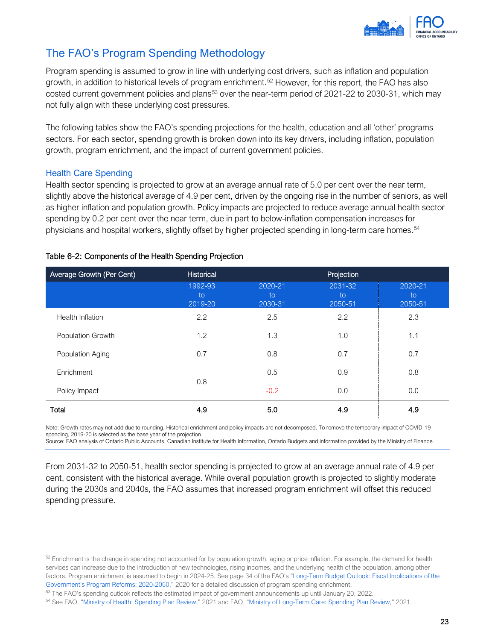

## The FAO's Program Spending Methodology

Program spending is assumed to grow in line with underlying cost drivers, such as inflation and population growth, in addition to historical levels of program enrichment.<sup>[52](#page-25-0)</sup> However, for this report, the FAO has also costed current government policies and plans<sup>[53](#page-25-1)</sup> over the near-term period of 2021-22 to 2030-31, which may not fully align with these underlying cost pressures.

The following tables show the FAO's spending projections for the health, education and all 'other' programs sectors. For each sector, spending growth is broken down into its key drivers, including inflation, population growth, program enrichment, and the impact of current government policies.

### Health Care Spending

Health sector spending is projected to grow at an average annual rate of 5.0 per cent over the near term, slightly above the historical average of 4.9 per cent, driven by the ongoing rise in the number of seniors, as well as higher inflation and population growth. Policy impacts are projected to reduce average annual health sector spending by 0.2 per cent over the near term, due in part to below-inflation compensation increases for physicians and hospital workers, slightly offset by higher projected spending in long-term care homes.<sup>[54](#page-25-2)</sup>

| Average Growth (Per Cent) | Historical               | Projection               |                          |                          |  |
|---------------------------|--------------------------|--------------------------|--------------------------|--------------------------|--|
|                           | 1992-93<br>to<br>2019-20 | 2020-21<br>to<br>2030-31 | 2031-32<br>to<br>2050-51 | 2020-21<br>to<br>2050-51 |  |
| Health Inflation          | 2.2                      | 2.5                      | 2.2                      | 2.3                      |  |
| Population Growth         | 1.2                      | 1.3                      | 1.0                      | 1.1                      |  |
| Population Aging          | 0.7                      | 0.8                      | 0.7                      | 0.7                      |  |
| Enrichment                |                          | 0.5                      | 0.9                      | 0.8                      |  |
| Policy Impact             | 0.8                      | $-0.2$                   | 0.0                      | 0.0                      |  |
| Total                     | 4.9                      | 5.0                      | 4.9                      | 4.9                      |  |

### Table 6-2: Components of the Health Spending Projection

Note: Growth rates may not add due to rounding. Historical enrichment and policy impacts are not decomposed. To remove the temporary impact of COVID-19 spending, 2019-20 is selected as the base year of the projection.

Source: FAO analysis of Ontario Public Accounts, Canadian Institute for Health Information, Ontario Budgets and information provided by the Ministry of Finance.

From 2031-32 to 2050-51, health sector spending is projected to grow at an average annual rate of 4.9 per cent, consistent with the historical average. While overall population growth is projected to slightly moderate during the 2030s and 2040s, the FAO assumes that increased program enrichment will offset this reduced spending pressure.

<span id="page-25-0"></span> $52$  Enrichment is the change in spending not accounted for by population growth, aging or price inflation. For example, the demand for health services can increase due to the introduction of new technologies, rising incomes, and the underlying health of the population, among other factors. Program enrichment is assumed to begin in 2024-25. See page 34 of the FAO's ["Long-Term Budget Outlook: Fiscal Implications of the](https://fao-on.org/en/Blog/Publications/LITBO-fiscal-2020#_Toc33793928)  [Government's Program Reforms: 2020-2050,"](https://fao-on.org/en/Blog/Publications/LITBO-fiscal-2020#_Toc33793928) 2020 for a detailed discussion of program spending enrichment.

<span id="page-25-2"></span><span id="page-25-1"></span><sup>&</sup>lt;sup>53</sup> The FAO's spending outlook reflects the estimated impact of government announcements up until January 20, 2022.<br><sup>54</sup> See FAO, ["Ministry of Health: Spending Plan Review,"](https://fao-on.org/en/Blog/Publications/2021-health-estimates) 2021 and FAO, "Ministry of Long-Term Care: Spen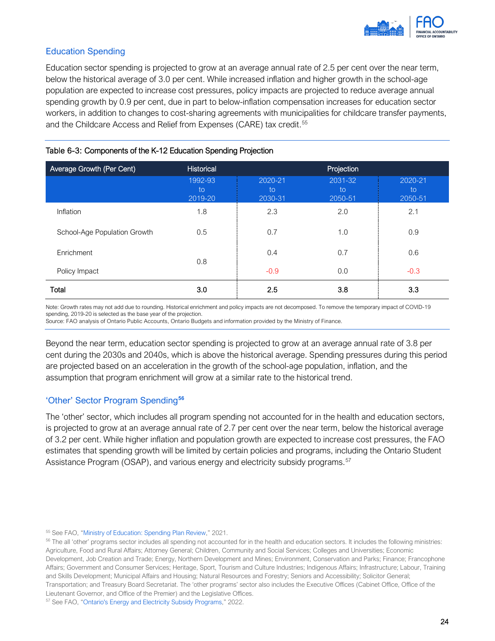

### Education Spending

Education sector spending is projected to grow at an average annual rate of 2.5 per cent over the near term, below the historical average of 3.0 per cent. While increased inflation and higher growth in the school-age population are expected to increase cost pressures, policy impacts are projected to reduce average annual spending growth by 0.9 per cent, due in part to below-inflation compensation increases for education sector workers, in addition to changes to cost-sharing agreements with municipalities for childcare transfer payments, and the Childcare Access and Relief from Expenses (CARE) tax credit.<sup>55</sup>

| Average Growth (Per Cent)    | Historical               | Projection               |                          |                          |  |
|------------------------------|--------------------------|--------------------------|--------------------------|--------------------------|--|
|                              | 1992-93<br>to<br>2019-20 | 2020-21<br>to<br>2030-31 | 2031-32<br>to<br>2050-51 | 2020-21<br>to<br>2050-51 |  |
| Inflation                    | 1.8                      | 2.3                      | 2.0                      | 2.1                      |  |
| School-Age Population Growth | 0.5                      | 0.7                      | 1.0                      | 0.9                      |  |
| Enrichment                   | 0.8                      | 0.4                      | 0.7                      | 0.6                      |  |
| Policy Impact                |                          | $-0.9$                   | 0.0                      | $-0.3$                   |  |
| Total                        | 3.0                      | 2.5                      | 3.8                      | 3.3                      |  |

#### Table 6-3: Components of the K-12 Education Spending Projection

Note: Growth rates may not add due to rounding. Historical enrichment and policy impacts are not decomposed. To remove the temporary impact of COVID-19 spending, 2019-20 is selected as the base year of the projection.

Source: FAO analysis of Ontario Public Accounts, Ontario Budgets and information provided by the Ministry of Finance.

Beyond the near term, education sector spending is projected to grow at an average annual rate of 3.8 per cent during the 2030s and 2040s, which is above the historical average. Spending pressures during this period are projected based on an acceleration in the growth of the school-age population, inflation, and the assumption that program enrichment will grow at a similar rate to the historical trend.

### 'Other' Sector Program Spending**[56](#page-26-1)**

The 'other' sector, which includes all program spending not accounted for in the health and education sectors, is projected to grow at an average annual rate of 2.7 per cent over the near term, below the historical average of 3.2 per cent. While higher inflation and population growth are expected to increase cost pressures, the FAO estimates that spending growth will be limited by certain policies and programs, including the Ontario Student Assistance Program (OSAP), and various energy and electricity subsidy programs.<sup>[57](#page-26-2)</sup>

<span id="page-26-1"></span><span id="page-26-0"></span> $55$  See FAO, ["Ministry of Education: Spending Plan Review,"](https://fao-on.org/en/Blog/Publications/2021-education-estimates) 2021.<br> $56$  The all 'other' programs sector includes all spending not accounted for in the health and education sectors. It includes the following ministries: Agriculture, Food and Rural Affairs; Attorney General; Children, Community and Social Services; Colleges and Universities; Economic Development, Job Creation and Trade; Energy, Northern Development and Mines; Environment, Conservation and Parks; Finance; Francophone Affairs; Government and Consumer Services; Heritage, Sport, Tourism and Culture Industries; Indigenous Affairs; Infrastructure; Labour, Training and Skills Development; Municipal Affairs and Housing; Natural Resources and Forestry; Seniors and Accessibility; Solicitor General; Transportation; and Treasury Board Secretariat. The 'other programs' sector also includes the Executive Offices (Cabinet Office, Office of the Lieutenant Governor, and Office of the Premier) and the Legislative Offices.

<span id="page-26-2"></span><sup>&</sup>lt;sup>57</sup> See FAO, ["Ontario's Energy and Electricity Subsidy Programs,"](https://fao-on.org/en/Blog/Publications/energy-and-electricity-2022) 2022.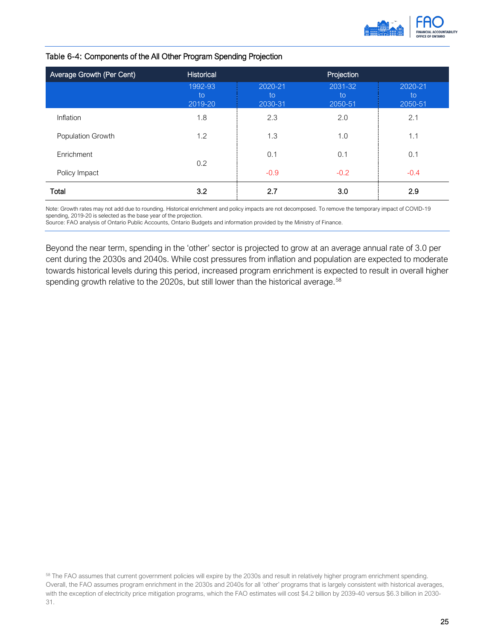

#### Table 6-4: Components of the All Other Program Spending Projection

| Average Growth (Per Cent) | Historical               | Projection               |                          |                          |  |
|---------------------------|--------------------------|--------------------------|--------------------------|--------------------------|--|
|                           | 1992-93<br>to<br>2019-20 | 2020-21<br>to<br>2030-31 | 2031-32<br>to<br>2050-51 | 2020-21<br>to<br>2050-51 |  |
| Inflation                 | 1.8                      | 2.3                      | 2.0                      | 2.1                      |  |
| Population Growth         | 1.2                      | 1.3                      | 1.0                      | 1.1                      |  |
| Enrichment                | 0.2                      | 0.1                      | 0.1                      | 0.1                      |  |
| Policy Impact             |                          | $-0.9$                   | $-0.2$                   | $-0.4$                   |  |
| Total                     | 3.2                      | 2.7                      | 3.0                      | 2.9                      |  |

Note: Growth rates may not add due to rounding. Historical enrichment and policy impacts are not decomposed. To remove the temporary impact of COVID-19 spending, 2019-20 is selected as the base year of the projection.

Source: FAO analysis of Ontario Public Accounts, Ontario Budgets and information provided by the Ministry of Finance.

Beyond the near term, spending in the 'other' sector is projected to grow at an average annual rate of 3.0 per cent during the 2030s and 2040s. While cost pressures from inflation and population are expected to moderate towards historical levels during this period, increased program enrichment is expected to result in overall higher spending growth relative to the 2020s, but still lower than the historical average.<sup>[58](#page-27-0)</sup>

<span id="page-27-0"></span><sup>&</sup>lt;sup>58</sup> The FAO assumes that current government policies will expire by the 2030s and result in relatively higher program enrichment spending. Overall, the FAO assumes program enrichment in the 2030s and 2040s for all 'other' programs that is largely consistent with historical averages, with the exception of electricity price mitigation programs, which the FAO estimates will cost \$4.2 billion by 2039-40 versus \$6.3 billion in 2030- 31.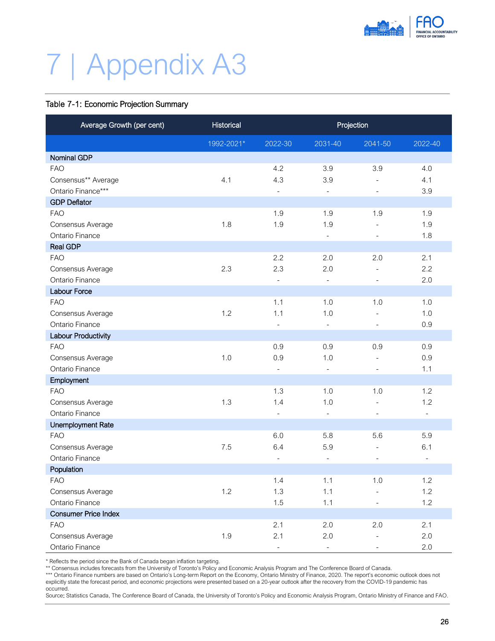

# <span id="page-28-0"></span>7 | Appendix A3

#### Table 7-1: Economic Projection Summary

| Average Growth (per cent)   | Historical | Projection               |                              |                          |                          |
|-----------------------------|------------|--------------------------|------------------------------|--------------------------|--------------------------|
|                             | 1992-2021* | 2022-30                  | 2031-40                      | 2041-50                  | 2022-40                  |
| <b>Nominal GDP</b>          |            |                          |                              |                          |                          |
| <b>FAO</b>                  |            | 4.2                      | 3.9                          | 3.9                      | 4.0                      |
| Consensus** Average         | 4.1        | 4.3                      | 3.9                          | $\overline{\phantom{0}}$ | 4.1                      |
| Ontario Finance***          |            | $\overline{\phantom{a}}$ | $\overline{\phantom{a}}$     | $\overline{\phantom{0}}$ | 3.9                      |
| <b>GDP Deflator</b>         |            |                          |                              |                          |                          |
| <b>FAO</b>                  |            | 1.9                      | 1.9                          | 1.9                      | 1.9                      |
| Consensus Average           | 1.8        | 1.9                      | 1.9                          |                          | 1.9                      |
| Ontario Finance             |            |                          | $\overline{\phantom{a}}$     |                          | 1.8                      |
| <b>Real GDP</b>             |            |                          |                              |                          |                          |
| <b>FAO</b>                  |            | 2.2                      | 2.0                          | 2.0                      | 2.1                      |
| Consensus Average           | 2.3        | 2.3                      | 2.0                          | $\overline{\phantom{0}}$ | 2.2                      |
| Ontario Finance             |            | $\overline{\phantom{a}}$ | $\qquad \qquad \blacksquare$ | $\overline{\phantom{a}}$ | 2.0                      |
| <b>Labour Force</b>         |            |                          |                              |                          |                          |
| <b>FAO</b>                  |            | 1.1                      | 1.0                          | 1.0                      | 1.0                      |
| Consensus Average           | 1.2        | 1.1                      | 1.0                          |                          | 1.0                      |
| Ontario Finance             |            | $\overline{\phantom{a}}$ | $\overline{\phantom{a}}$     | $\overline{\phantom{0}}$ | 0.9                      |
| Labour Productivity         |            |                          |                              |                          |                          |
| <b>FAO</b>                  |            | 0.9                      | 0.9                          | 0.9                      | 0.9                      |
| Consensus Average           | 1.0        | 0.9                      | 1.0                          | $\overline{\phantom{0}}$ | 0.9                      |
| Ontario Finance             |            | $\blacksquare$           | $\equiv$                     | $\overline{\phantom{0}}$ | 1.1                      |
| Employment                  |            |                          |                              |                          |                          |
| <b>FAO</b>                  |            | 1.3                      | 1.0                          | 1.0                      | 1.2                      |
| Consensus Average           | 1.3        | 1.4                      | 1.0                          | $\overline{\phantom{a}}$ | 1.2                      |
| Ontario Finance             |            | $\overline{\phantom{a}}$ | $\overline{\phantom{a}}$     | $\overline{\phantom{a}}$ | $\blacksquare$           |
| <b>Unemployment Rate</b>    |            |                          |                              |                          |                          |
| <b>FAO</b>                  |            | 6.0                      | 5.8                          | 5.6                      | 5.9                      |
| Consensus Average           | 7.5        | 6.4                      | 5.9                          | $\overline{\phantom{0}}$ | 6.1                      |
| Ontario Finance             |            | $\qquad \qquad -$        | $\overline{\phantom{a}}$     |                          | $\overline{\phantom{a}}$ |
| Population                  |            |                          |                              |                          |                          |
| <b>FAO</b>                  |            | $1.4$                    | 1.1                          | $1.0\,$                  | 1.2                      |
| Consensus Average           | 1.2        | 1.3                      | 1.1                          |                          | 1.2                      |
| Ontario Finance             |            | 1.5                      | 1.1                          |                          | 1.2                      |
| <b>Consumer Price Index</b> |            |                          |                              |                          |                          |
| <b>FAO</b>                  |            | 2.1                      | 2.0                          | 2.0                      | 2.1                      |
| Consensus Average           | 1.9        | 2.1                      | 2.0                          |                          | 2.0                      |
| Ontario Finance             |            | $\overline{\phantom{a}}$ | $\overline{\phantom{a}}$     | $\overline{\phantom{a}}$ | $2.0\,$                  |

\* Reflects the period since the Bank of Canada began inflation targeting.

\*\* Consensus includes forecasts from the University of Toronto's Policy and Economic Analysis Program and The Conference Board of Canada.

\*\*\* Ontario Finance numbers are based on Ontario's Long-term Report on the Economy, Ontario Ministry of Finance, 2020. The report's economic outlook does not explicitly state the forecast period, and economic projections were presented based on a 20-year outlook after the recovery from the COVID-19 pandemic has occurred.

Source: Statistics Canada, The Conference Board of Canada, the University of Toronto's Policy and Economic Analysis Program, Ontario Ministry of Finance and FAO.